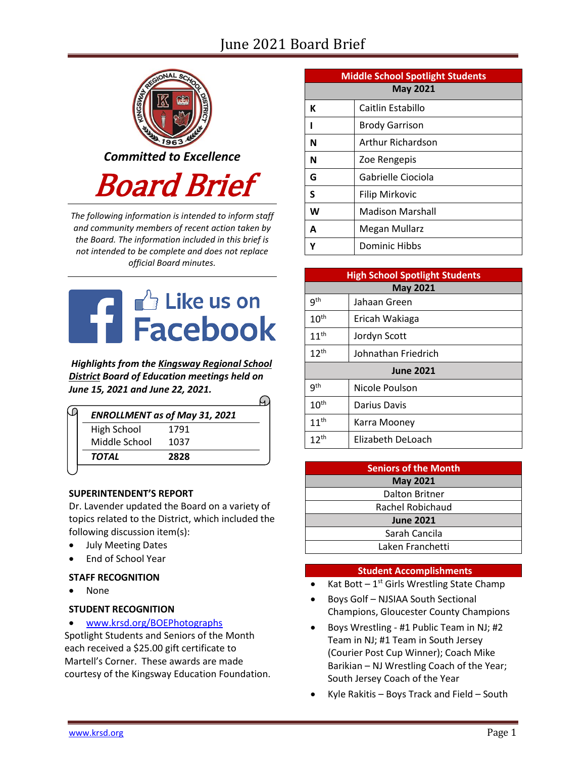# June 2021 Board Brief



*The following information is intended to inform staff and community members of recent action taken by the Board. The information included in this brief is not intended to be complete and does not replace official Board minutes.*



*Highlights from the [Kingsway Regional School](https://www.facebook.com/KingswayDragons)  [District](https://www.facebook.com/KingswayDragons) Board of Education meetings held on June 15, 2021 and June 22, 2021.*  $\Omega$ 

|               | <b>ENROLLMENT as of May 31, 2021</b> |
|---------------|--------------------------------------|
| High School   | 1791                                 |
| Middle School | 1037                                 |
| <b>TOTAL</b>  | 2828                                 |

# **SUPERINTENDENT'S REPORT**

Dr. Lavender updated the Board on a variety of topics related to the District, which included the following discussion item(s):

- July Meeting Dates
- End of School Year

# **STAFF RECOGNITION**

None

# **STUDENT RECOGNITION**

[www.krsd.org/BOEPhotographs](https://www.krsd.org/site/default.aspx?PageType=3&ModuleInstanceID=4635&ViewID=94B66785-F3F0-41A8-8414-1E55691D3E9E&RenderLoc=0&FlexDataID=7445&PageID=1303) 

Spotlight Students and Seniors of the Month each received a \$25.00 gift certificate to Martell's Corner. These awards are made courtesy of the Kingsway Education Foundation.

| <b>Middle School Spotlight Students</b> |                         |  |  |
|-----------------------------------------|-------------------------|--|--|
| <b>May 2021</b>                         |                         |  |  |
| К                                       | Caitlin Estabillo       |  |  |
|                                         | <b>Brody Garrison</b>   |  |  |
| N                                       | Arthur Richardson       |  |  |
| N                                       | Zoe Rengepis            |  |  |
| G                                       | Gabrielle Ciociola      |  |  |
| S                                       | <b>Filip Mirkovic</b>   |  |  |
| W                                       | <b>Madison Marshall</b> |  |  |
| A                                       | Megan Mullarz           |  |  |
|                                         | Dominic Hibbs           |  |  |

| <b>High School Spotlight Students</b> |                     |  |
|---------------------------------------|---------------------|--|
| <b>May 2021</b>                       |                     |  |
| gth                                   | Jahaan Green        |  |
| 10 <sup>th</sup>                      | Ericah Wakiaga      |  |
| 11 <sup>th</sup>                      | Jordyn Scott        |  |
| $12^{th}$                             | Johnathan Friedrich |  |
| <b>June 2021</b>                      |                     |  |
| q <sup>th</sup>                       | Nicole Poulson      |  |
| 10 <sup>th</sup>                      | Darius Davis        |  |
| 11 <sup>th</sup>                      | Karra Mooney        |  |
| 12 <sup>th</sup>                      | Elizabeth DeLoach   |  |

| <b>Seniors of the Month</b> |  |  |  |
|-----------------------------|--|--|--|
| <b>May 2021</b>             |  |  |  |
| Dalton Britner              |  |  |  |
| Rachel Robichaud            |  |  |  |
| <b>June 2021</b>            |  |  |  |
| Sarah Cancila               |  |  |  |
| Laken Franchetti            |  |  |  |

#### **Student Accomplishments**

- Kat Bott  $-1^{st}$  Girls Wrestling State Champ
- Boys Golf NJSIAA South Sectional Champions, Gloucester County Champions
- Boys Wrestling #1 Public Team in NJ; #2 Team in NJ; #1 Team in South Jersey (Courier Post Cup Winner); Coach Mike Barikian – NJ Wrestling Coach of the Year; South Jersey Coach of the Year
- Kyle Rakitis Boys Track and Field South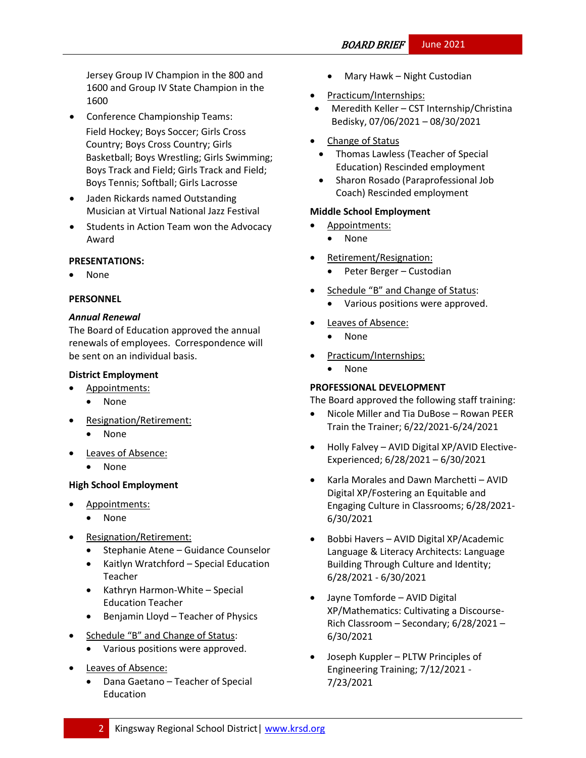Jersey Group IV Champion in the 800 and 1600 and Group IV State Champion in the 1600

- Conference Championship Teams: Field Hockey; Boys Soccer; Girls Cross Country; Boys Cross Country; Girls Basketball; Boys Wrestling; Girls Swimming; Boys Track and Field; Girls Track and Field; Boys Tennis; Softball; Girls Lacrosse
- Jaden Rickards named Outstanding Musician at Virtual National Jazz Festival
- Students in Action Team won the Advocacy Award

# **PRESENTATIONS:**

None

# **PERSONNEL**

# *Annual Renewal*

The Board of Education approved the annual renewals of employees. Correspondence will be sent on an individual basis.

# **District Employment**

- Appointments:
	- None
- Resignation/Retirement:
	- None
- Leaves of Absence:
	- None

# **High School Employment**

- Appointments:
	- None
- Resignation/Retirement:
	- Stephanie Atene Guidance Counselor
	- Kaitlyn Wratchford Special Education Teacher
	- Kathryn Harmon-White Special Education Teacher
	- Benjamin Lloyd Teacher of Physics
- Schedule "B" and Change of Status:
	- Various positions were approved.
- Leaves of Absence:
	- Dana Gaetano Teacher of Special Education
- Mary Hawk Night Custodian
- Practicum/Internships:
- Meredith Keller CST Internship/Christina Bedisky, 07/06/2021 – 08/30/2021
- Change of Status
	- Thomas Lawless (Teacher of Special Education) Rescinded employment
	- Sharon Rosado (Paraprofessional Job Coach) Rescinded employment

# **Middle School Employment**

- Appointments:
	- None
- Retirement/Resignation:
	- Peter Berger Custodian
- Schedule "B" and Change of Status:
	- Various positions were approved.
- Leaves of Absence:
	- None
- Practicum/Internships:
	- None

# **PROFESSIONAL DEVELOPMENT**

The Board approved the following staff training:

- Nicole Miller and Tia DuBose Rowan PEER Train the Trainer; 6/22/2021-6/24/2021
- Holly Falvey AVID Digital XP/AVID Elective-Experienced; 6/28/2021 – 6/30/2021
- Karla Morales and Dawn Marchetti AVID Digital XP/Fostering an Equitable and Engaging Culture in Classrooms; 6/28/2021- 6/30/2021
- Bobbi Havers AVID Digital XP/Academic Language & Literacy Architects: Language Building Through Culture and Identity; 6/28/2021 - 6/30/2021
- Jayne Tomforde AVID Digital XP/Mathematics: Cultivating a Discourse-Rich Classroom – Secondary; 6/28/2021 – 6/30/2021
- Joseph Kuppler PLTW Principles of Engineering Training; 7/12/2021 - 7/23/2021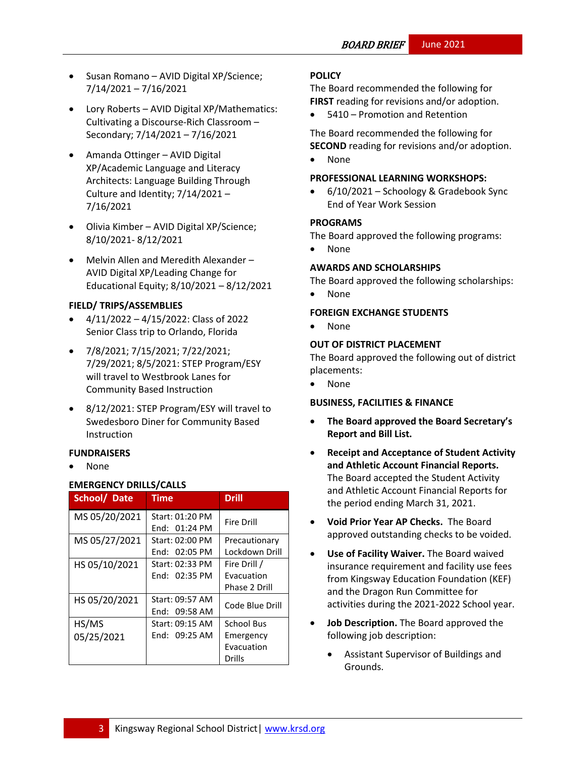- Susan Romano AVID Digital XP/Science; 7/14/2021 – 7/16/2021
- Lory Roberts AVID Digital XP/Mathematics: Cultivating a Discourse-Rich Classroom – Secondary; 7/14/2021 – 7/16/2021
- Amanda Ottinger AVID Digital XP/Academic Language and Literacy Architects: Language Building Through Culture and Identity; 7/14/2021 – 7/16/2021
- Olivia Kimber AVID Digital XP/Science; 8/10/2021- 8/12/2021
- Melvin Allen and Meredith Alexander AVID Digital XP/Leading Change for Educational Equity; 8/10/2021 – 8/12/2021

#### **FIELD/ TRIPS/ASSEMBLIES**

- $\bullet$  4/11/2022 4/15/2022: Class of 2022 Senior Class trip to Orlando, Florida
- 7/8/2021; 7/15/2021; 7/22/2021; 7/29/2021; 8/5/2021: STEP Program/ESY will travel to Westbrook Lanes for Community Based Instruction
- 8/12/2021: STEP Program/ESY will travel to Swedesboro Diner for Community Based Instruction

#### **FUNDRAISERS**

None

# **EMERGENCY DRILLS/CALLS**

| School/Date         | <b>Time</b>                      | <b>Drill</b>                                                  |
|---------------------|----------------------------------|---------------------------------------------------------------|
| MS 05/20/2021       | Start: 01:20 PM<br>End: 01:24 PM | <b>Fire Drill</b>                                             |
| MS 05/27/2021       | Start: 02:00 PM<br>End: 02:05 PM | Precautionary<br>Lockdown Drill                               |
| HS 05/10/2021       | Start: 02:33 PM<br>End: 02:35 PM | Fire Drill /<br>Evacuation<br>Phase 2 Drill                   |
| HS 05/20/2021       | Start: 09:57 AM<br>End: 09:58 AM | Code Blue Drill                                               |
| HS/MS<br>05/25/2021 | Start: 09:15 AM<br>End: 09:25 AM | <b>School Bus</b><br>Emergency<br>Evacuation<br><b>Drills</b> |

#### **[POLICY](http://www.straussesmay.com/seportal/Public/DistrictPolicyTOC.aspx?id=f0cc945ef3894b8d9ad5f87d948ca425&PolicyID=)**

The Board recommended the following for **FIRST** reading for revisions and/or adoption.

5410 – Promotion and Retention

The Board recommended the following for **SECOND** reading for revisions and/or adoption.

• None

#### **PROFESSIONAL LEARNING WORKSHOPS:**

 6/10/2021 – Schoology & Gradebook Sync End of Year Work Session

#### **PROGRAMS**

The Board approved the following programs:

• None

#### **AWARDS AND SCHOLARSHIPS**

The Board approved the following scholarships:

None

#### **FOREIGN EXCHANGE STUDENTS**

None

#### **OUT OF DISTRICT PLACEMENT**

The Board approved the following out of district placements:

• None

#### **BUSINESS, FACILITIES & FINANCE**

- **The Board approved the Board Secretary's Report and Bill List.**
- **Receipt and Acceptance of Student Activity and Athletic Account Financial Reports.**  The Board accepted the Student Activity and Athletic Account Financial Reports for the period ending March 31, 2021.
- **Void Prior Year AP Checks.** The Board approved outstanding checks to be voided.
- **Use of Facility Waiver.** The Board waived insurance requirement and facility use fees from Kingsway Education Foundation (KEF) and the Dragon Run Committee for activities during the 2021-2022 School year.
- **Job Description.** The Board approved the following job description:
	- Assistant Supervisor of Buildings and Grounds.